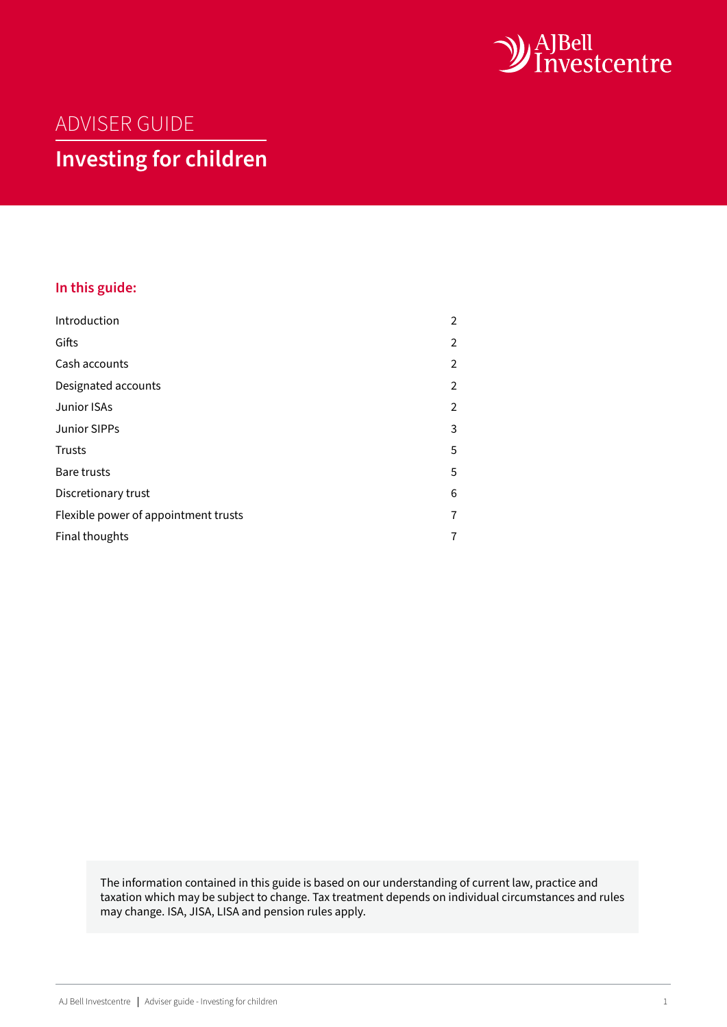

# ADVISER GUIDE

# **Investing for children**

# **In this guide:**

| Introduction                         | 2 |
|--------------------------------------|---|
| Gifts                                | 2 |
| Cash accounts                        | 2 |
| Designated accounts                  | 2 |
| Junior ISAs                          | 2 |
| <b>Junior SIPPs</b>                  | 3 |
| <b>Trusts</b>                        | 5 |
| <b>Bare trusts</b>                   | 5 |
| Discretionary trust                  | 6 |
| Flexible power of appointment trusts | 7 |
| Final thoughts                       | 7 |

The information contained in this guide is based on our understanding of current law, practice and taxation which may be subject to change. Tax treatment depends on individual circumstances and rules may change. ISA, JISA, LISA and pension rules apply.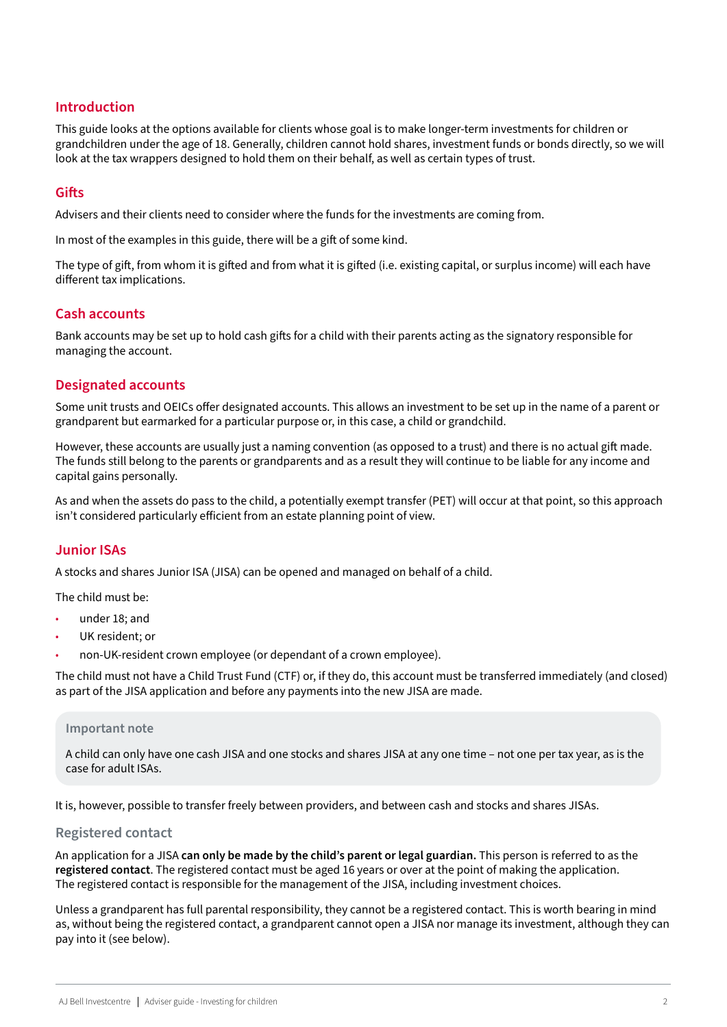# <span id="page-1-0"></span>**Introduction**

This guide looks at the options available for clients whose goal is to make longer-term investments for children or grandchildren under the age of 18. Generally, children cannot hold shares, investment funds or bonds directly, so we will look at the tax wrappers designed to hold them on their behalf, as well as certain types of trust.

# **Gifts**

Advisers and their clients need to consider where the funds for the investments are coming from.

In most of the examples in this guide, there will be a gift of some kind.

The type of gift, from whom it is gifted and from what it is gifted (i.e. existing capital, or surplus income) will each have different tax implications.

# **Cash accounts**

Bank accounts may be set up to hold cash gifts for a child with their parents acting as the signatory responsible for managing the account.

# **Designated accounts**

Some unit trusts and OEICs offer designated accounts. This allows an investment to be set up in the name of a parent or grandparent but earmarked for a particular purpose or, in this case, a child or grandchild.

However, these accounts are usually just a naming convention (as opposed to a trust) and there is no actual gift made. The funds still belong to the parents or grandparents and as a result they will continue to be liable for any income and capital gains personally.

As and when the assets do pass to the child, a potentially exempt transfer (PET) will occur at that point, so this approach isn't considered particularly efficient from an estate planning point of view.

# **Junior ISAs**

A stocks and shares Junior ISA (JISA) can be opened and managed on behalf of a child.

The child must be:

- under 18; and
- UK resident; or
- non-UK-resident crown employee (or dependant of a crown employee).

The child must not have a Child Trust Fund (CTF) or, if they do, this account must be transferred immediately (and closed) as part of the JISA application and before any payments into the new JISA are made.

#### **Important note**

A child can only have one cash JISA and one stocks and shares JISA at any one time – not one per tax year, as is the case for adult ISAs.

It is, however, possible to transfer freely between providers, and between cash and stocks and shares JISAs.

#### **Registered contact**

An application for a JISA **can only be made by the child's parent or legal guardian.** This person is referred to as the **registered contact**. The registered contact must be aged 16 years or over at the point of making the application. The registered contact is responsible for the management of the JISA, including investment choices.

Unless a grandparent has full parental responsibility, they cannot be a registered contact. This is worth bearing in mind as, without being the registered contact, a grandparent cannot open a JISA nor manage its investment, although they can pay into it (see below).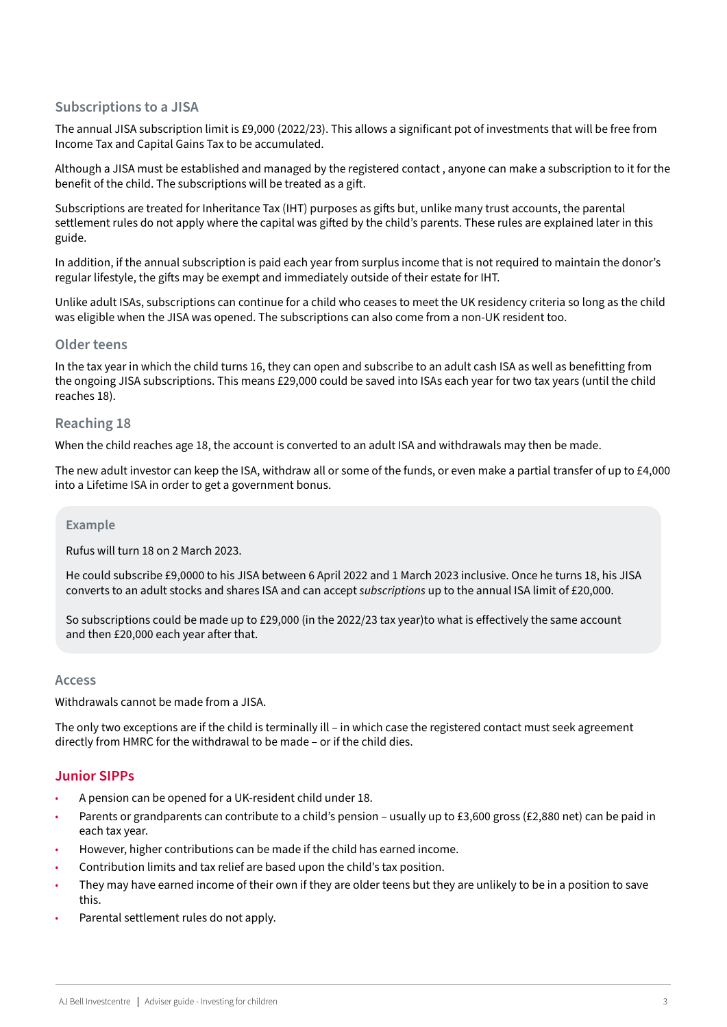# <span id="page-2-0"></span>**Subscriptions to a JISA**

The annual JISA subscription limit is £9,000 (2022/23). This allows a significant pot of investments that will be free from Income Tax and Capital Gains Tax to be accumulated.

Although a JISA must be established and managed by the registered contact , anyone can make a subscription to it for the benefit of the child. The subscriptions will be treated as a gift.

Subscriptions are treated for Inheritance Tax (IHT) purposes as gifts but, unlike many trust accounts, the parental settlement rules do not apply where the capital was gifted by the child's parents. These rules are explained later in this guide.

In addition, if the annual subscription is paid each year from surplus income that is not required to maintain the donor's regular lifestyle, the gifts may be exempt and immediately outside of their estate for IHT.

Unlike adult ISAs, subscriptions can continue for a child who ceases to meet the UK residency criteria so long as the child was eligible when the JISA was opened. The subscriptions can also come from a non-UK resident too.

### **Older teens**

In the tax year in which the child turns 16, they can open and subscribe to an adult cash ISA as well as benefitting from the ongoing JISA subscriptions. This means £29,000 could be saved into ISAs each year for two tax years (until the child reaches 18).

### **Reaching 18**

When the child reaches age 18, the account is converted to an adult ISA and withdrawals may then be made.

The new adult investor can keep the ISA, withdraw all or some of the funds, or even make a partial transfer of up to £4,000 into a Lifetime ISA in order to get a government bonus.

### **Example**

Rufus will turn 18 on 2 March 2023.

He could subscribe £9,0000 to his JISA between 6 April 2022 and 1 March 2023 inclusive. Once he turns 18, his JISA converts to an adult stocks and shares ISA and can accept *subscriptions* up to the annual ISA limit of £20,000.

So subscriptions could be made up to £29,000 (in the 2022/23 tax year)to what is effectively the same account and then £20,000 each year after that.

### **Access**

Withdrawals cannot be made from a JISA.

The only two exceptions are if the child is terminally ill – in which case the registered contact must seek agreement directly from HMRC for the withdrawal to be made – or if the child dies.

# **Junior SIPPs**

- A pension can be opened for a UK-resident child under 18.
- Parents or grandparents can contribute to a child's pension usually up to £3,600 gross (£2,880 net) can be paid in each tax year.
- However, higher contributions can be made if the child has earned income.
- Contribution limits and tax relief are based upon the child's tax position.
- They may have earned income of their own if they are older teens but they are unlikely to be in a position to save this.
- Parental settlement rules do not apply.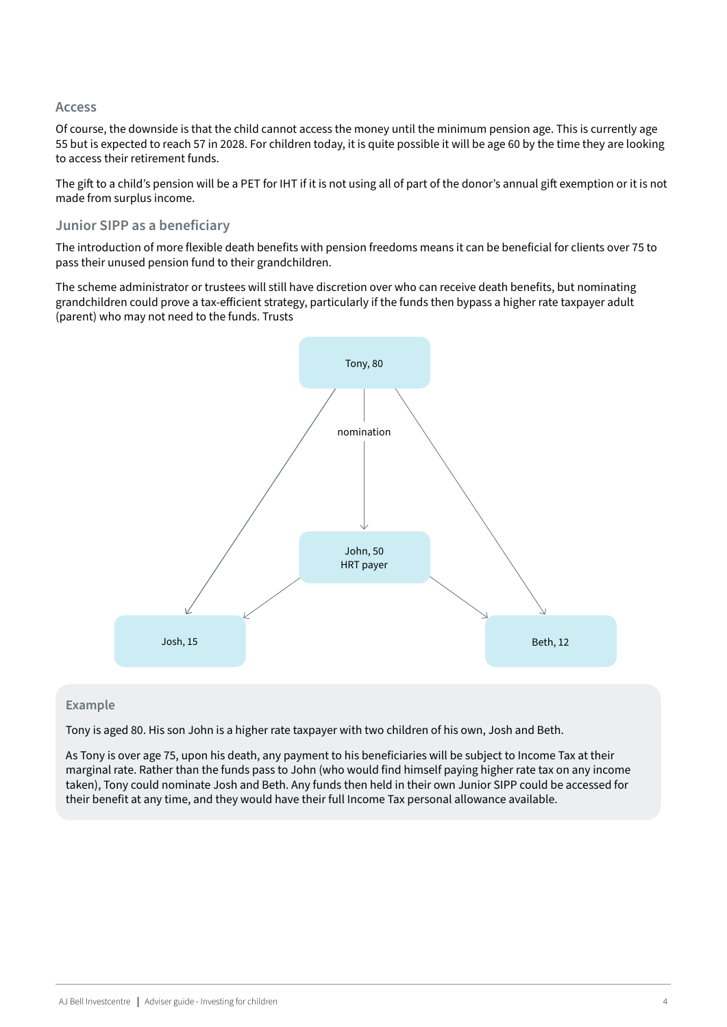### **Access**

Of course, the downside is that the child cannot access the money until the minimum pension age. This is currently age 55 but is expected to reach 57 in 2028. For children today, it is quite possible it will be age 60 by the time they are looking to access their retirement funds.

The gift to a child's pension will be a PET for IHT if it is not using all of part of the donor's annual gift exemption or it is not made from surplus income.

# **Junior SIPP as a beneficiary**

The introduction of more flexible death benefits with pension freedoms means it can be beneficial for clients over 75 to pass their unused pension fund to their grandchildren.

The scheme administrator or trustees will still have discretion over who can receive death benefits, but nominating grandchildren could prove a tax-efficient strategy, particularly if the funds then bypass a higher rate taxpayer adult (parent) who may not need to the funds. Trusts



### **Example**

Tony is aged 80. His son John is a higher rate taxpayer with two children of his own, Josh and Beth.

As Tony is over age 75, upon his death, any payment to his beneficiaries will be subject to Income Tax at their marginal rate. Rather than the funds pass to John (who would find himself paying higher rate tax on any income taken), Tony could nominate Josh and Beth. Any funds then held in their own Junior SIPP could be accessed for their benefit at any time, and they would have their full Income Tax personal allowance available.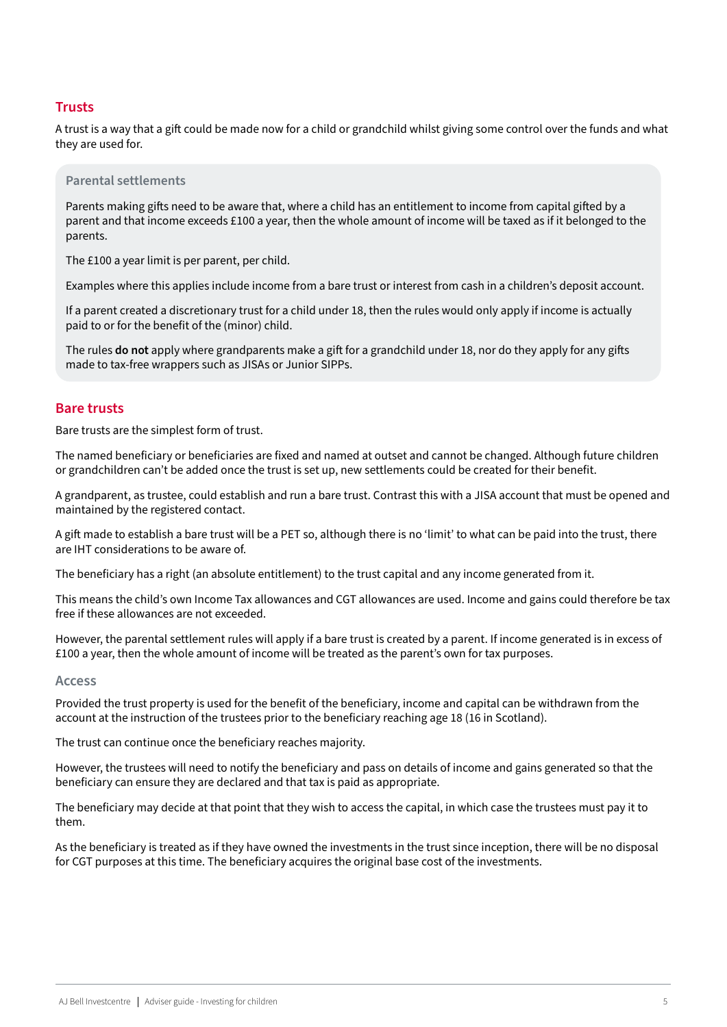# <span id="page-4-0"></span>**Trusts**

A trust is a way that a gift could be made now for a child or grandchild whilst giving some control over the funds and what they are used for.

#### **Parental settlements**

Parents making gifts need to be aware that, where a child has an entitlement to income from capital gifted by a parent and that income exceeds £100 a year, then the whole amount of income will be taxed as if it belonged to the parents.

The £100 a year limit is per parent, per child.

Examples where this applies include income from a bare trust or interest from cash in a children's deposit account.

If a parent created a discretionary trust for a child under 18, then the rules would only apply if income is actually paid to or for the benefit of the (minor) child.

The rules **do not** apply where grandparents make a gift for a grandchild under 18, nor do they apply for any gifts made to tax-free wrappers such as JISAs or Junior SIPPs.

#### **Bare trusts**

Bare trusts are the simplest form of trust.

The named beneficiary or beneficiaries are fixed and named at outset and cannot be changed. Although future children or grandchildren can't be added once the trust is set up, new settlements could be created for their benefit.

A grandparent, as trustee, could establish and run a bare trust. Contrast this with a JISA account that must be opened and maintained by the registered contact.

A gift made to establish a bare trust will be a PET so, although there is no 'limit' to what can be paid into the trust, there are IHT considerations to be aware of.

The beneficiary has a right (an absolute entitlement) to the trust capital and any income generated from it.

This means the child's own Income Tax allowances and CGT allowances are used. Income and gains could therefore be tax free if these allowances are not exceeded.

However, the parental settlement rules will apply if a bare trust is created by a parent. If income generated is in excess of £100 a year, then the whole amount of income will be treated as the parent's own for tax purposes.

#### **Access**

Provided the trust property is used for the benefit of the beneficiary, income and capital can be withdrawn from the account at the instruction of the trustees prior to the beneficiary reaching age 18 (16 in Scotland).

The trust can continue once the beneficiary reaches majority.

However, the trustees will need to notify the beneficiary and pass on details of income and gains generated so that the beneficiary can ensure they are declared and that tax is paid as appropriate.

The beneficiary may decide at that point that they wish to access the capital, in which case the trustees must pay it to them.

As the beneficiary is treated as if they have owned the investments in the trust since inception, there will be no disposal for CGT purposes at this time. The beneficiary acquires the original base cost of the investments.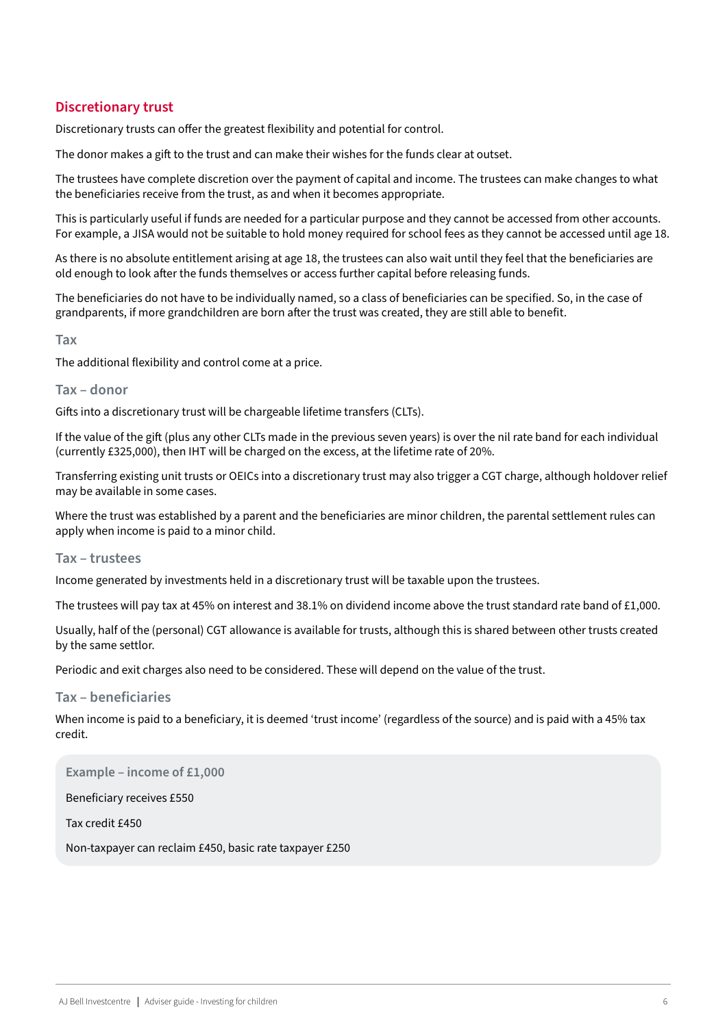# <span id="page-5-0"></span>**Discretionary trust**

Discretionary trusts can offer the greatest flexibility and potential for control.

The donor makes a gift to the trust and can make their wishes for the funds clear at outset.

The trustees have complete discretion over the payment of capital and income. The trustees can make changes to what the beneficiaries receive from the trust, as and when it becomes appropriate.

This is particularly useful if funds are needed for a particular purpose and they cannot be accessed from other accounts. For example, a JISA would not be suitable to hold money required for school fees as they cannot be accessed until age 18.

As there is no absolute entitlement arising at age 18, the trustees can also wait until they feel that the beneficiaries are old enough to look after the funds themselves or access further capital before releasing funds.

The beneficiaries do not have to be individually named, so a class of beneficiaries can be specified. So, in the case of grandparents, if more grandchildren are born after the trust was created, they are still able to benefit.

**Tax**

The additional flexibility and control come at a price.

#### **Tax – donor**

Gifts into a discretionary trust will be chargeable lifetime transfers (CLTs).

If the value of the gift (plus any other CLTs made in the previous seven years) is over the nil rate band for each individual (currently £325,000), then IHT will be charged on the excess, at the lifetime rate of 20%.

Transferring existing unit trusts or OEICs into a discretionary trust may also trigger a CGT charge, although holdover relief may be available in some cases.

Where the trust was established by a parent and the beneficiaries are minor children, the parental settlement rules can apply when income is paid to a minor child.

#### **Tax – trustees**

Income generated by investments held in a discretionary trust will be taxable upon the trustees.

The trustees will pay tax at 45% on interest and 38.1% on dividend income above the trust standard rate band of £1,000.

Usually, half of the (personal) CGT allowance is available for trusts, although this is shared between other trusts created by the same settlor.

Periodic and exit charges also need to be considered. These will depend on the value of the trust.

#### **Tax – beneficiaries**

When income is paid to a beneficiary, it is deemed 'trust income' (regardless of the source) and is paid with a 45% tax credit.

**Example – income of £1,000**

Beneficiary receives £550

Tax credit £450

Non-taxpayer can reclaim £450, basic rate taxpayer £250